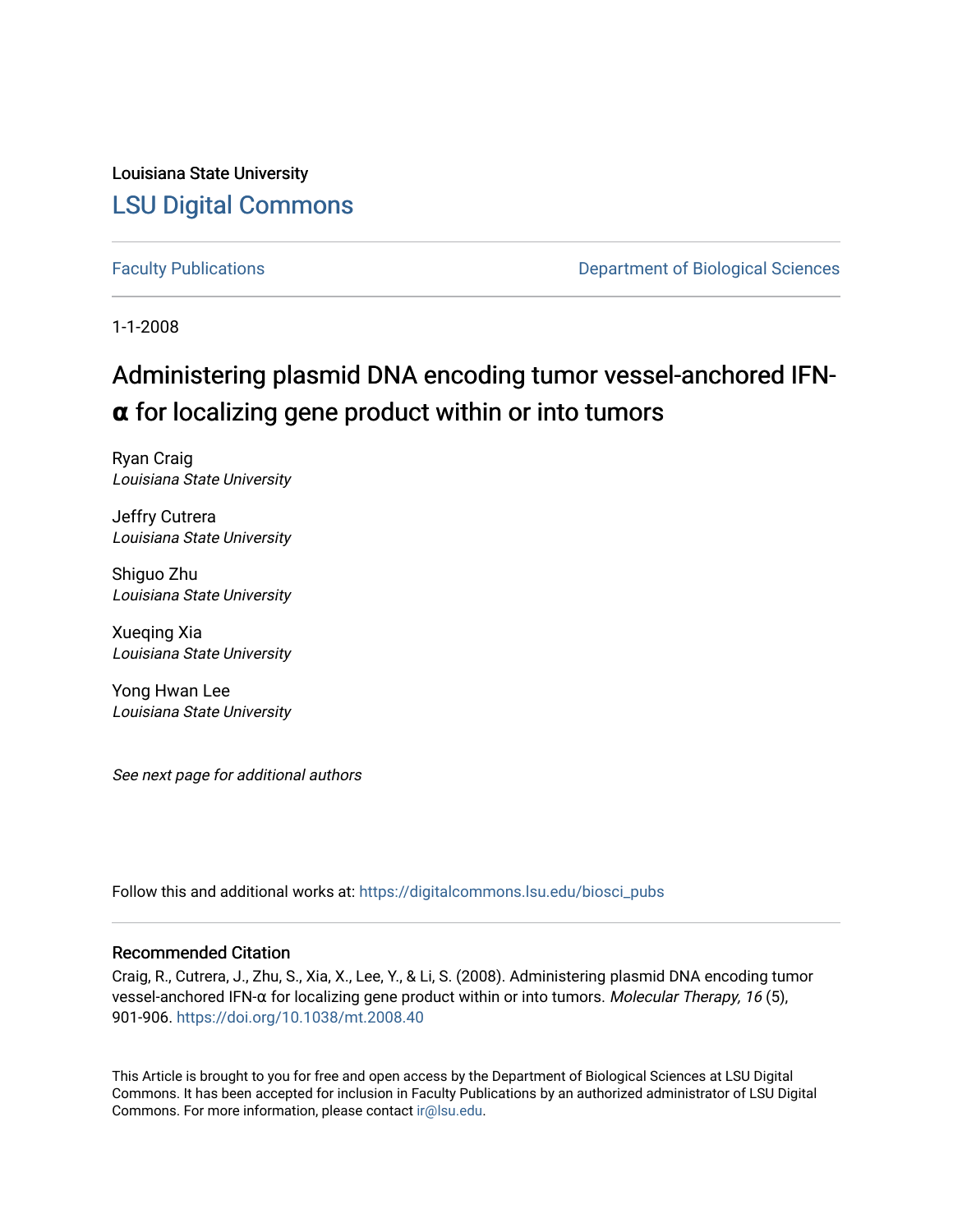Louisiana State University [LSU Digital Commons](https://digitalcommons.lsu.edu/)

[Faculty Publications](https://digitalcommons.lsu.edu/biosci_pubs) **Exercise 2 and Table 2 and Table 2 and Table 2 and Table 2 and Table 2 and Table 2 and Table 2 and Table 2 and Table 2 and Table 2 and Table 2 and Table 2 and Table 2 and Table 2 and Table 2 and Table** 

1-1-2008

# Administering plasmid DNA encoding tumor vessel-anchored IFN**α** for localizing gene product within or into tumors

Ryan Craig Louisiana State University

Jeffry Cutrera Louisiana State University

Shiguo Zhu Louisiana State University

Xueqing Xia Louisiana State University

Yong Hwan Lee Louisiana State University

See next page for additional authors

Follow this and additional works at: [https://digitalcommons.lsu.edu/biosci\\_pubs](https://digitalcommons.lsu.edu/biosci_pubs?utm_source=digitalcommons.lsu.edu%2Fbiosci_pubs%2F2377&utm_medium=PDF&utm_campaign=PDFCoverPages)

# Recommended Citation

Craig, R., Cutrera, J., Zhu, S., Xia, X., Lee, Y., & Li, S. (2008). Administering plasmid DNA encoding tumor vessel-anchored IFN-α for localizing gene product within or into tumors. Molecular Therapy, 16 (5), 901-906. <https://doi.org/10.1038/mt.2008.40>

This Article is brought to you for free and open access by the Department of Biological Sciences at LSU Digital Commons. It has been accepted for inclusion in Faculty Publications by an authorized administrator of LSU Digital Commons. For more information, please contact [ir@lsu.edu](mailto:ir@lsu.edu).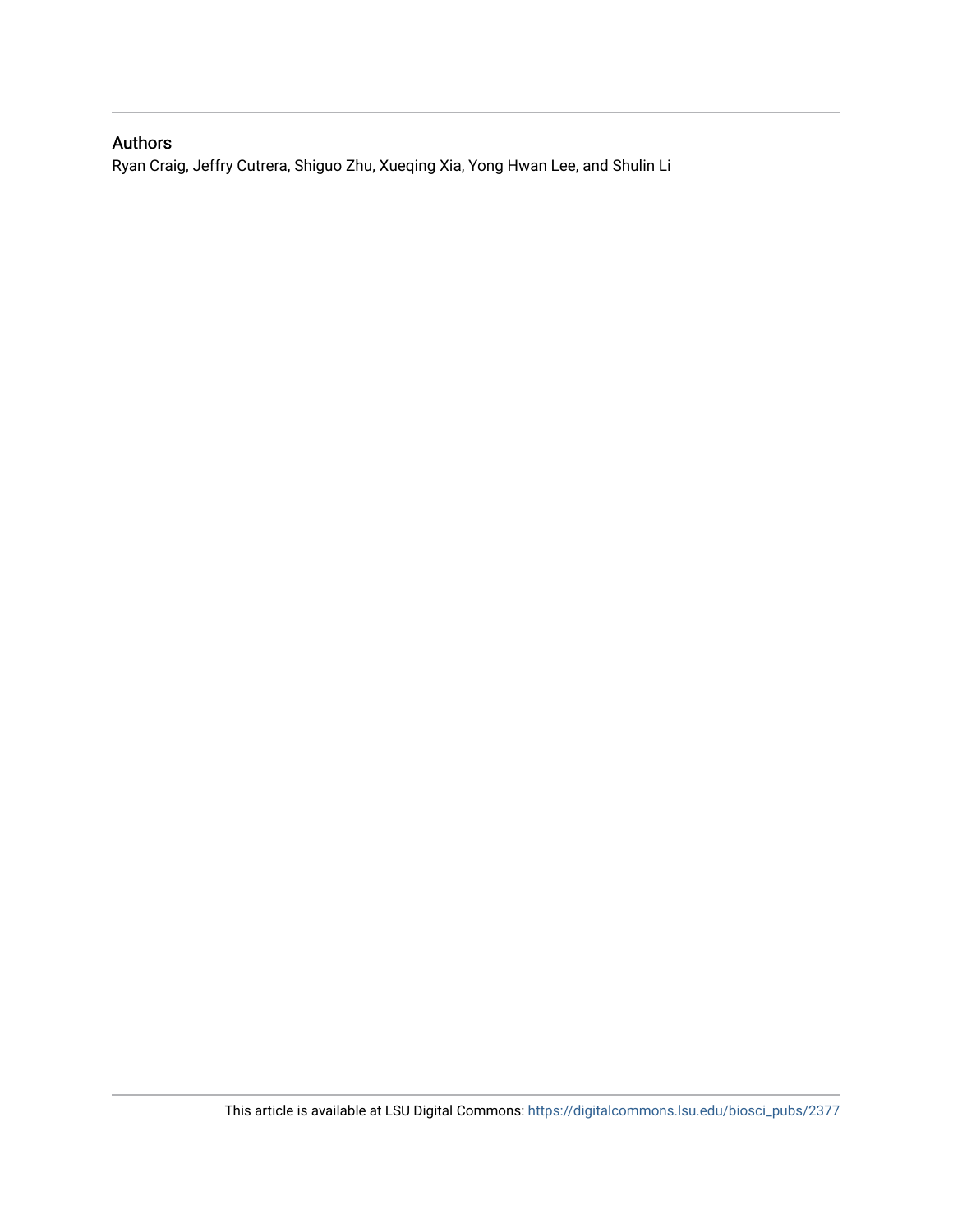# Authors

Ryan Craig, Jeffry Cutrera, Shiguo Zhu, Xueqing Xia, Yong Hwan Lee, and Shulin Li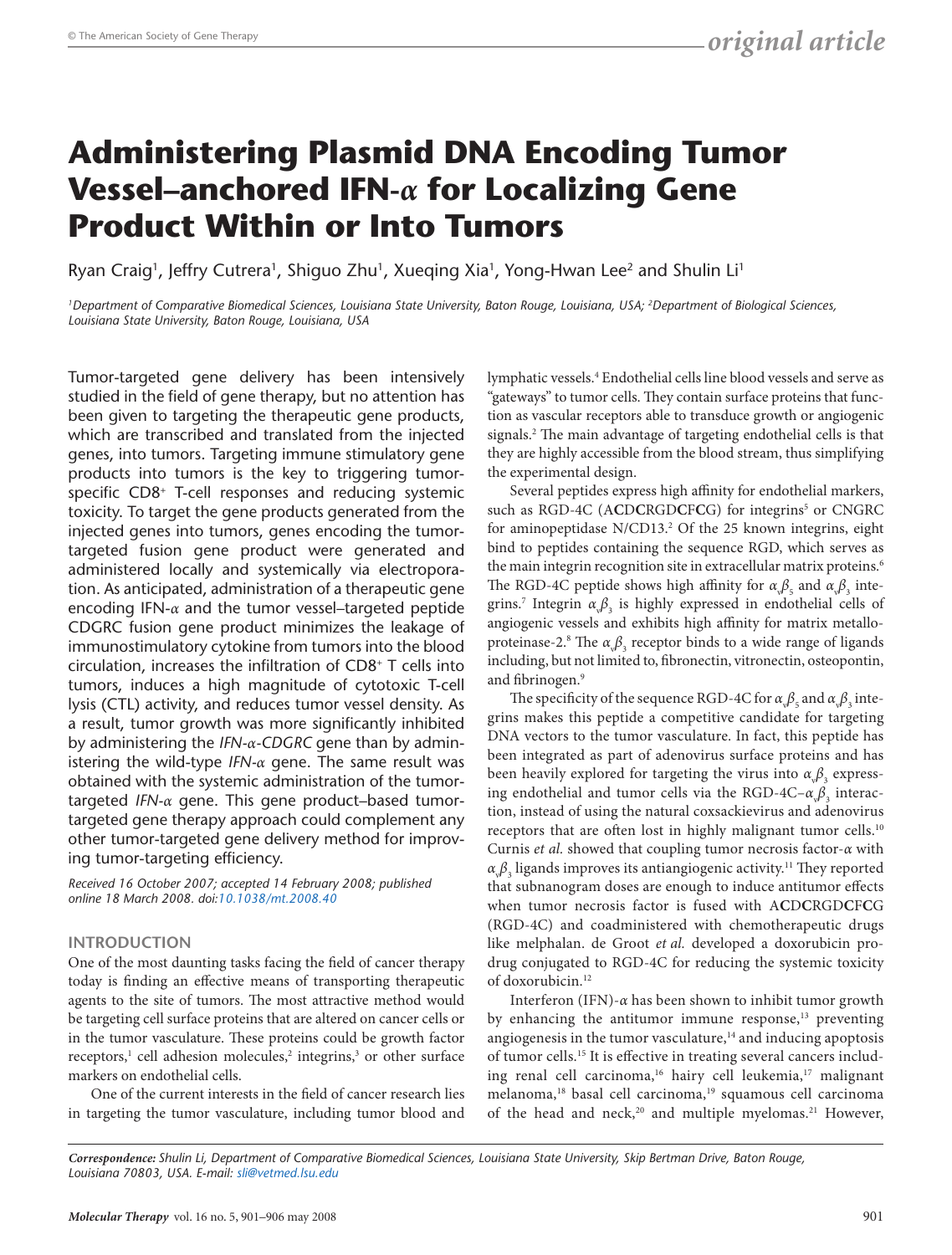# **Administering Plasmid DNA Encoding Tumor Vessel–anchored IFN-***α* **for Localizing Gene Product Within or Into Tumors**

Ryan Craig<sup>1</sup>, Jeffry Cutrera<sup>1</sup>, Shiguo Zhu<sup>1</sup>, Xueqing Xia<sup>1</sup>, Yong-Hwan Lee<sup>2</sup> and Shulin Li<sup>1</sup>

*1Department of Comparative Biomedical Sciences, Louisiana State University, Baton Rouge, Louisiana, USA; 2Department of Biological Sciences, Louisiana State University, Baton Rouge, Louisiana, USA*

Tumor-targeted gene delivery has been intensively studied in the field of gene therapy, but no attention has been given to targeting the therapeutic gene products, which are transcribed and translated from the injected genes, into tumors. Targeting immune stimulatory gene products into tumors is the key to triggering tumorspecific CD8+ T-cell responses and reducing systemic toxicity. To target the gene products generated from the injected genes into tumors, genes encoding the tumortargeted fusion gene product were generated and administered locally and systemically via electroporation. As anticipated, administration of a therapeutic gene encoding IFN-*α* and the tumor vessel–targeted peptide CDGRC fusion gene product minimizes the leakage of immunostimulatory cytokine from tumors into the blood circulation, increases the infiltration of CD8+ T cells into tumors, induces a high magnitude of cytotoxic T-cell lysis (CTL) activity, and reduces tumor vessel density. As a result, tumor growth was more significantly inhibited by administering the *IFN-α-CDGRC* gene than by administering the wild-type *IFN-α* gene. The same result was obtained with the systemic administration of the tumortargeted *IFN-α* gene. This gene product–based tumortargeted gene therapy approach could complement any other tumor-targeted gene delivery method for improving tumor-targeting efficiency.

*Received 16 October 2007; accepted 14 February 2008; published online 18 March 2008. doi[:10.1038/mt.2008.40](http://www.nature.com/doifinder/10.1038/mt.2008.40)*

# **INTRODUCTION**

One of the most daunting tasks facing the field of cancer therapy today is finding an effective means of transporting therapeutic agents to the site of tumors. The most attractive method would be targeting cell surface proteins that are altered on cancer cells or in the tumor vasculature. These proteins could be growth factor receptors,<sup>1</sup> cell adhesion molecules,<sup>2</sup> integrins,<sup>3</sup> or other surface markers on endothelial cells.

One of the current interests in the field of cancer research lies in targeting the tumor vasculature, including tumor blood and

lymphatic vessels.4 Endothelial cells line blood vessels and serve as "gateways" to tumor cells. They contain surface proteins that function as vascular receptors able to transduce growth or angiogenic signals.2 The main advantage of targeting endothelial cells is that they are highly accessible from the blood stream, thus simplifying the experimental design.

Several peptides express high affinity for endothelial markers, such as RGD-4C (ACDCRGDCFCG) for integrins<sup>5</sup> or CNGRC for aminopeptidase N/CD13.<sup>2</sup> Of the 25 known integrins, eight bind to peptides containing the sequence RGD, which serves as the main integrin recognition site in extracellular matrix proteins.<sup>6</sup> The RGD-4C peptide shows high affinity for  $\alpha_{\varphi} \beta_{5}$  and  $\alpha_{\varphi} \beta_{3}$  integrins.<sup>7</sup> Integrin  $\alpha_{\psi} \beta_{3}$  is highly expressed in endothelial cells of angiogenic vessels and exhibits high affinity for matrix metalloproteinase-2.<sup>8</sup> The  $\alpha_{\text{v}}\beta_{\text{3}}$  receptor binds to a wide range of ligands including, but not limited to, fibronectin, vitronectin, osteopontin, and fibrinogen.<sup>9</sup>

The specificity of the sequence RGD-4C for  $\alpha_{\rm v}\beta_{\rm s}$  and  $\alpha_{\rm v}\beta_{\rm s}$  integrins makes this peptide a competitive candidate for targeting DNA vectors to the tumor vasculature. In fact, this peptide has been integrated as part of adenovirus surface proteins and has been heavily explored for targeting the virus into  $\alpha_{\scriptscriptstyle \sqrt{5}},$  expressing endothelial and tumor cells via the RGD-4C–α<sub>ν</sub>β<sub>3</sub> interaction, instead of using the natural coxsackievirus and adenovirus receptors that are often lost in highly malignant tumor cells.<sup>10</sup> Curnis *et al.* showed that coupling tumor necrosis factor-*α* with  $\alpha_{\varphi}\beta_{3}$  ligands improves its antiangiogenic activity.<sup>11</sup> They reported that subnanogram doses are enough to induce antitumor effects when tumor necrosis factor is fused with A**C**D**C**RGD**C**F**C**G (RGD-4C) and coadministered with chemotherapeutic drugs like melphalan. de Groot *et al.* developed a doxorubicin prodrug conjugated to RGD-4C for reducing the systemic toxicity of doxorubicin.<sup>12</sup>

Interferon (IFN)-*α* has been shown to inhibit tumor growth by enhancing the antitumor immune response,<sup>13</sup> preventing angiogenesis in the tumor vasculature, $14$  and inducing apoptosis of tumor cells.15 It is effective in treating several cancers including renal cell carcinoma,<sup>16</sup> hairy cell leukemia,<sup>17</sup> malignant melanoma,<sup>18</sup> basal cell carcinoma,<sup>19</sup> squamous cell carcinoma of the head and neck,<sup>20</sup> and multiple myelomas.<sup>21</sup> However,

*Correspondence: Shulin Li, Department of Comparative Biomedical Sciences, Louisiana State University, Skip Bertman Drive, Baton Rouge, Louisiana 70803, USA. E-mail[: sli@vetmed.lsu.edu](mailto:sli@vetmed.lsu.edu)*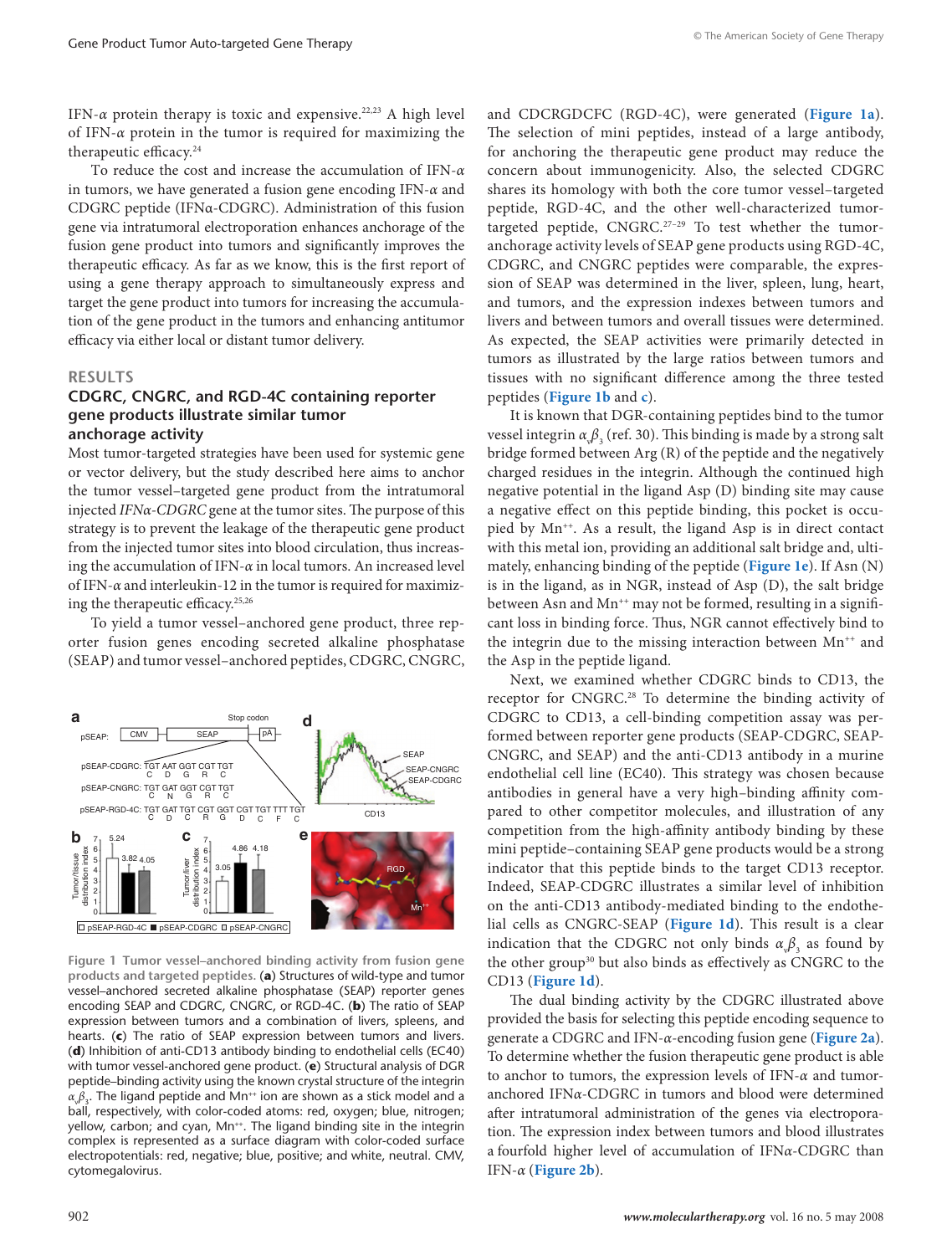<span id="page-3-0"></span>IFN-*α* protein therapy is toxic and expensive.<sup>22,23</sup> A high level of IFN-*α* protein in the tumor is required for maximizing the therapeutic efficacy.<sup>24</sup>

To reduce the cost and increase the accumulation of IFN-*α* in tumors, we have generated a fusion gene encoding IFN-*α* and CDGRC peptide (IFNα-CDGRC). Administration of this fusion gene via intratumoral electroporation enhances anchorage of the fusion gene product into tumors and significantly improves the therapeutic efficacy. As far as we know, this is the first report of using a gene therapy approach to simultaneously express and target the gene product into tumors for increasing the accumulation of the gene product in the tumors and enhancing antitumor efficacy via either local or distant tumor delivery.

#### **RESULTS**

### **CDGRC, CNGRC, and RGD-4C containing reporter gene products illustrate similar tumor anchorage activity**

Most tumor-targeted strategies have been used for systemic gene or vector delivery, but the study described here aims to anchor the tumor vessel–targeted gene product from the intratumoral injected *IFNα-CDGRC* gene at the tumor sites. The purpose of this strategy is to prevent the leakage of the therapeutic gene product from the injected tumor sites into blood circulation, thus increasing the accumulation of IFN-*α* in local tumors. An increased level of IFN-*α* and interleukin-12 in the tumor is required for maximizing the therapeutic efficacy.25,26

To yield a tumor vessel–anchored gene product, three reporter fusion genes encoding secreted alkaline phosphatase (SEAP) and tumor vessel–anchored peptides, CDGRC, CNGRC,



**Figure 1 Tumor vessel–anchored binding activity from fusion gene products and targeted peptides.** (**a**) Structures of wild-type and tumor vessel–anchored secreted alkaline phosphatase (SEAP) reporter genes encoding SEAP and CDGRC, CNGRC, or RGD-4C. (**b**) The ratio of SEAP expression between tumors and a combination of livers, spleens, and hearts. (**c**) The ratio of SEAP expression between tumors and livers. (**d**) Inhibition of anti-CD13 antibody binding to endothelial cells (EC40) with tumor vessel-anchored gene product. (**e**) Structural analysis of DGR peptide–binding activity using the known crystal structure of the integrin  $\alpha \beta_{3}$ . The ligand peptide and Mn<sup>++</sup> ion are shown as a stick model and a ball, respectively, with color-coded atoms: red, oxygen; blue, nitrogen; yellow, carbon; and cyan, Mn<sup>++</sup>. The ligand binding site in the integrin complex is represented as a surface diagram with color-coded surface electropotentials: red, negative; blue, positive; and white, neutral. CMV, cytomegalovirus.

and CDCRGDCFC (RGD-4C), were generated (**Figure 1a**). The selection of mini peptides, instead of a large antibody, for anchoring the therapeutic gene product may reduce the concern about immunogenicity. Also, the selected CDGRC shares its homology with both the core tumor vessel–targeted peptide, RGD-4C, and the other well-characterized tumortargeted peptide,  $CNGRC.<sup>27-29</sup>$  To test whether the tumoranchorage activity levels of SEAP gene products using RGD-4C, CDGRC, and CNGRC peptides were comparable, the expression of SEAP was determined in the liver, spleen, lung, heart, and tumors, and the expression indexes between tumors and livers and between tumors and overall tissues were determined. As expected, the SEAP activities were primarily detected in tumors as illustrated by the large ratios between tumors and tissues with no significant difference among the three tested peptides (**Figure 1b** and **c**).

It is known that DGR-containing peptides bind to the tumor vessel integrin  $\alpha_{\scriptscriptstyle \phi} \beta_{\scriptscriptstyle 3}$  (ref. 30). This binding is made by a strong salt bridge formed between Arg (R) of the peptide and the negatively charged residues in the integrin. Although the continued high negative potential in the ligand Asp (D) binding site may cause a negative effect on this peptide binding, this pocket is occupied by Mn<sup>++</sup>. As a result, the ligand Asp is in direct contact with this metal ion, providing an additional salt bridge and, ultimately, enhancing binding of the peptide (**Figure 1e**). If Asn (N) is in the ligand, as in NGR, instead of Asp (D), the salt bridge between Asn and Mn<sup>++</sup> may not be formed, resulting in a significant loss in binding force. Thus, NGR cannot effectively bind to the integrin due to the missing interaction between Mn<sup>++</sup> and the Asp in the peptide ligand.

Next, we examined whether CDGRC binds to CD13, the receptor for CNGRC.28 To determine the binding activity of CDGRC to CD13, a cell-binding competition assay was performed between reporter gene products (SEAP-CDGRC, SEAP-CNGRC, and SEAP) and the anti-CD13 antibody in a murine endothelial cell line (EC40). This strategy was chosen because antibodies in general have a very high–binding affinity compared to other competitor molecules, and illustration of any competition from the high-affinity antibody binding by these mini peptide–containing SEAP gene products would be a strong indicator that this peptide binds to the target CD13 receptor. Indeed, SEAP-CDGRC illustrates a similar level of inhibition on the anti-CD13 antibody-mediated binding to the endothelial cells as CNGRC-SEAP (**Figure 1d**). This result is a clear indication that the CDGRC not only binds  $\alpha_v \beta_3$  as found by the other group<sup>30</sup> but also binds as effectively as CNGRC to the CD13 (**Figure 1d**).

The dual binding activity by the CDGRC illustrated above provided the basis for selecting this peptide encoding sequence to generate a CDGRC and IFN-*α*-encoding fusion gene (**[Figure 2a](#page-4-0)**). To determine whether the fusion therapeutic gene product is able to anchor to tumors, the expression levels of IFN-*α* and tumoranchored IFN*α*-CDGRC in tumors and blood were determined after intratumoral administration of the genes via electroporation. The expression index between tumors and blood illustrates a fourfold higher level of accumulation of IFN*α*-CDGRC than IFN-*α* (**[Figure 2b](#page-4-0)**).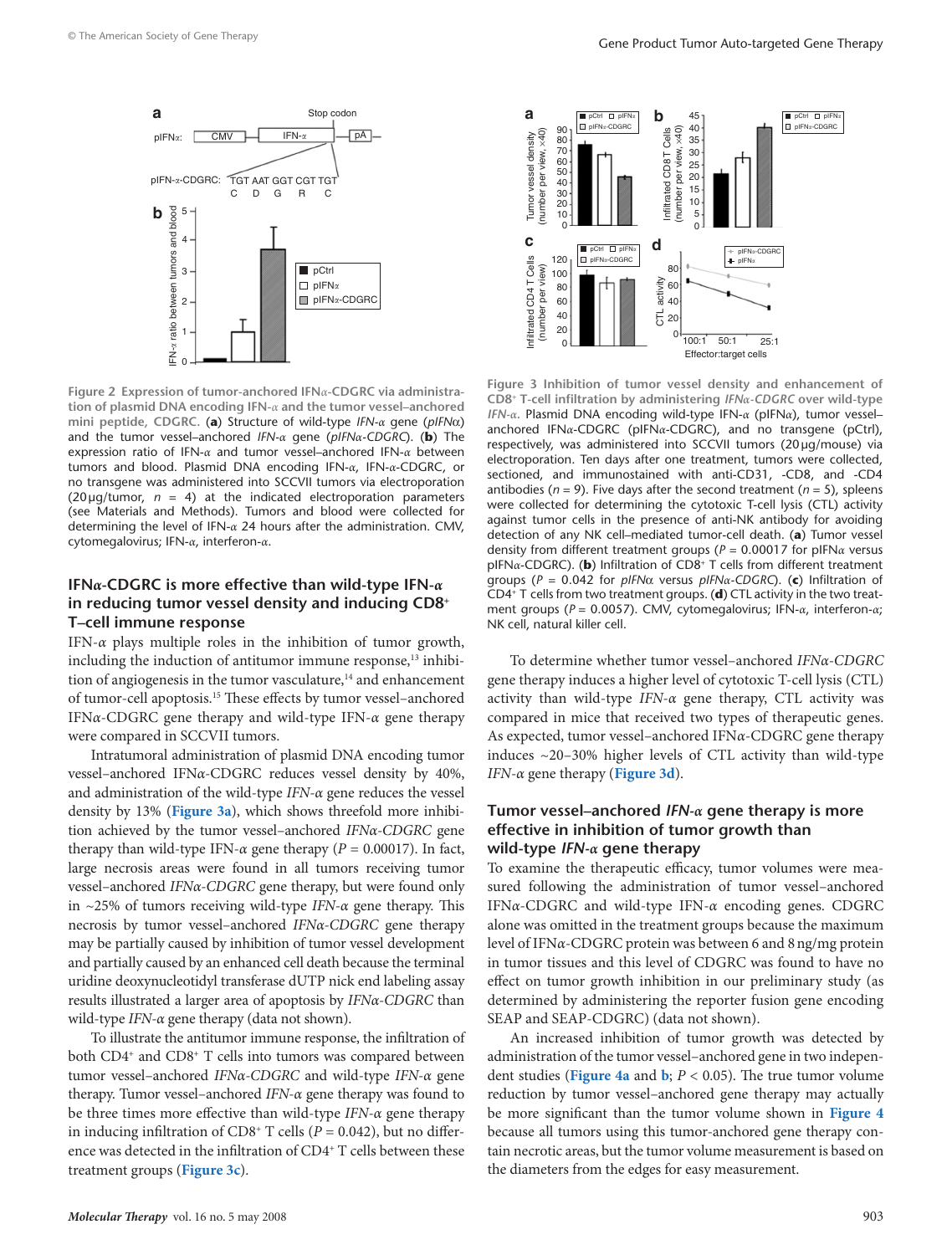<span id="page-4-0"></span>

**Figure 2 Expression of tumor-anchored IFN***α***-CDGRC via administration of plasmid DNA encoding IFN-***α* **and the tumor vessel–anchored mini peptide, CDGRC.** (**a**) Structure of wild-type *IFN-α* gene (*pIFN*α) and the tumor vessel–anchored *IFN-α* gene (*pIFNα-CDGRC*). (**b**) The expression ratio of IFN-*α* and tumor vessel–anchored IFN-*α* between tumors and blood. Plasmid DNA encoding IFN-*α*, IFN-*α*-CDGRC, or no transgene was administered into SCCVII tumors via electroporation  $(20 \mu g/tumor, n = 4)$  at the indicated electroporation parameters (see Materials and Methods). Tumors and blood were collected for determining the level of IFN-*α* 24 hours after the administration. CMV, cytomegalovirus; IFN-*α*, interferon-*α*.

### **IFN***α***-CDGRC is more effective than wild-type IFN-***α* **in reducing tumor vessel density and inducing CD8+ T–cell immune response**

IFN-*α* plays multiple roles in the inhibition of tumor growth, including the induction of antitumor immune response,<sup>13</sup> inhibition of angiogenesis in the tumor vasculature, $14$  and enhancement of tumor-cell apoptosis.15 These effects by tumor vessel–anchored IFN*α*-CDGRC gene therapy and wild-type IFN-*α* gene therapy were compared in SCCVII tumors.

Intratumoral administration of plasmid DNA encoding tumor vessel–anchored IFN*α*-CDGRC reduces vessel density by 40%, and administration of the wild-type *IFN-α* gene reduces the vessel density by 13% (**Figure 3a**), which shows threefold more inhibition achieved by the tumor vessel–anchored *IFNα-CDGRC* gene therapy than wild-type IFN- $\alpha$  gene therapy ( $P = 0.00017$ ). In fact, large necrosis areas were found in all tumors receiving tumor vessel–anchored *IFNα-CDGRC* gene therapy, but were found only in ~25% of tumors receiving wild-type *IFN-α* gene therapy. This necrosis by tumor vessel–anchored *IFNα-CDGRC* gene therapy may be partially caused by inhibition of tumor vessel development and partially caused by an enhanced cell death because the terminal uridine deoxynucleotidyl transferase dUTP nick end labeling assay results illustrated a larger area of apoptosis by *IFNα-CDGRC* than wild-type *IFN-α* gene therapy (data not shown).

To illustrate the antitumor immune response, the infiltration of both CD4+ and CD8+ T cells into tumors was compared between tumor vessel–anchored *IFNα-CDGRC* and wild-type *IFN-α* gene therapy. Tumor vessel–anchored *IFN-α* gene therapy was found to be three times more effective than wild-type *IFN-α* gene therapy in inducing infiltration of  $CD8^+$  T cells ( $P = 0.042$ ), but no difference was detected in the infiltration of CD4<sup>+</sup> T cells between these treatment groups (**Figure 3c**).



**Figure 3 Inhibition of tumor vessel density and enhancement of CD8+ T-cell infiltration by administering** *IFNα-CDGRC* **over wild-type**  *IFN-α***.** Plasmid DNA encoding wild-type IFN-*α* (pIFN*α*), tumor vessel– anchored IFN*α*-CDGRC (pIFN*α*-CDGRC), and no transgene (pCtrl), respectively, was administered into SCCVII tumors (20µg/mouse) via electroporation. Ten days after one treatment, tumors were collected, sectioned, and immunostained with anti-CD31, -CD8, and -CD4 antibodies ( $n = 9$ ). Five days after the second treatment ( $n = 5$ ), spleens were collected for determining the cytotoxic T-cell lysis (CTL) activity against tumor cells in the presence of anti-NK antibody for avoiding detection of any NK cell–mediated tumor-cell death. (**a**) Tumor vessel density from different treatment groups (*P* = 0.00017 for pIFN*α* versus pIFN*α*-CDGRC). (**b**) Infiltration of CD8+ T cells from different treatment groups (*P* = 0.042 for *pIFN*α versus *pIFNα-CDGRC*). (**c**) Infiltration of CD4+ T cells from two treatment groups. (**d**) CTL activity in the two treatment groups (*P* = 0.0057). CMV, cytomegalovirus; IFN-*α*, interferon-*α*; NK cell, natural killer cell.

To determine whether tumor vessel–anchored *IFNα-CDGRC* gene therapy induces a higher level of cytotoxic T-cell lysis (CTL) activity than wild-type *IFN-α* gene therapy, CTL activity was compared in mice that received two types of therapeutic genes. As expected, tumor vessel–anchored IFN*α*-CDGRC gene therapy induces ~20–30% higher levels of CTL activity than wild-type *IFN-α* gene therapy (**Figure 3d**).

### **Tumor vessel–anchored** *IFN-α* **gene therapy is more effective in inhibition of tumor growth than wild-type** *IFN-α* **gene therapy**

To examine the therapeutic efficacy, tumor volumes were measured following the administration of tumor vessel–anchored IFN*α*-CDGRC and wild-type IFN-*α* encoding genes. CDGRC alone was omitted in the treatment groups because the maximum level of IFN*α*-CDGRC protein was between 6 and 8ng/mg protein in tumor tissues and this level of CDGRC was found to have no effect on tumor growth inhibition in our preliminary study (as determined by administering the reporter fusion gene encoding SEAP and SEAP-CDGRC) (data not shown).

An increased inhibition of tumor growth was detected by administration of the tumor vessel–anchored gene in two independent studies (**[Figure 4a](#page-5-0)** and **[b](#page-5-0)**; *P* < 0.05). The true tumor volume reduction by tumor vessel–anchored gene therapy may actually be more significant than the tumor volume shown in **[Figure 4](#page-5-0)** because all tumors using this tumor-anchored gene therapy contain necrotic areas, but the tumor volume measurement is based on the diameters from the edges for easy measurement.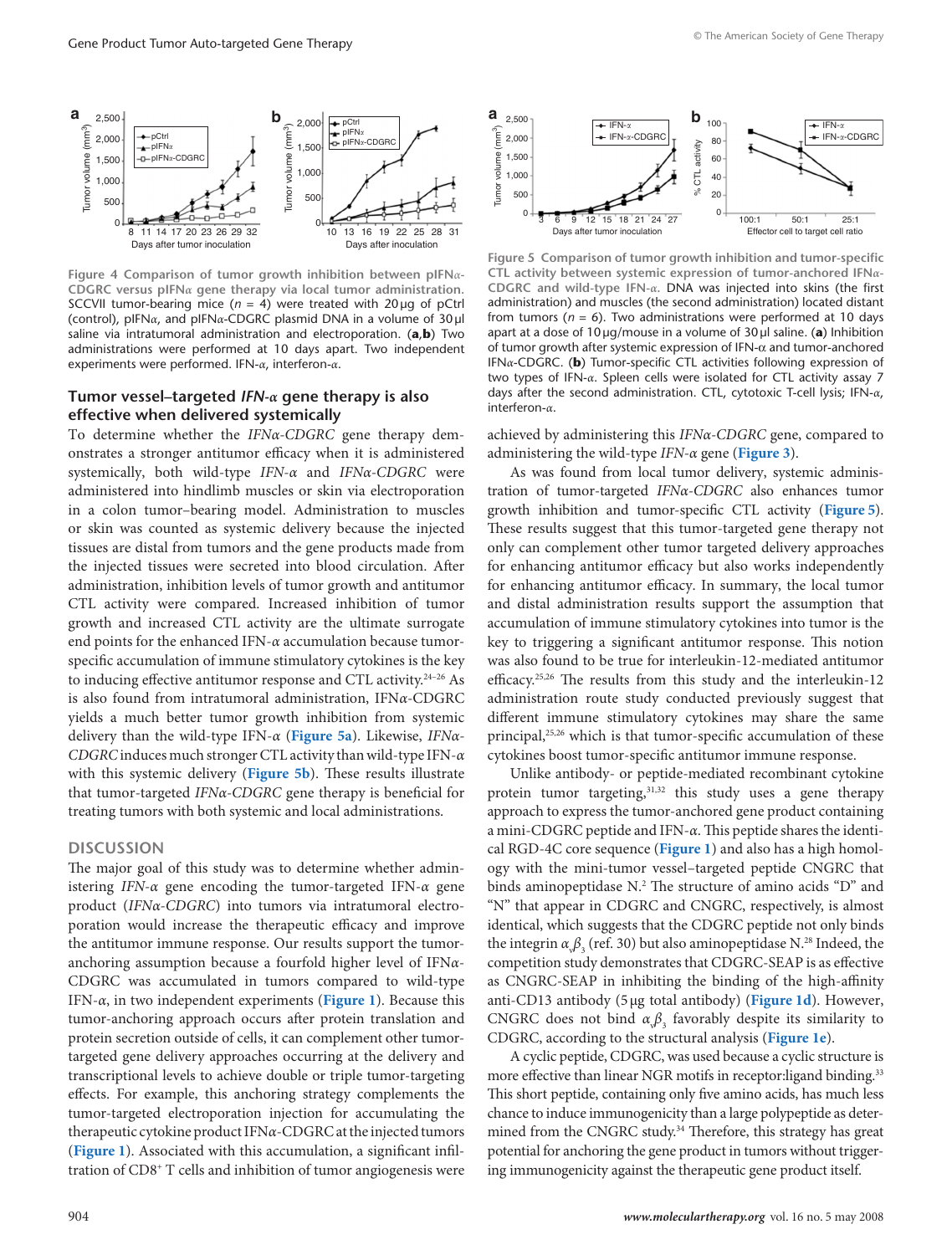<span id="page-5-0"></span>

**Figure 4 Comparison of tumor growth inhibition between pIFN***α***-CDGRC versus pIFN***α* **gene therapy via local tumor administration.**  SCCVII tumor-bearing mice  $(n = 4)$  were treated with 20 µg of pCtrl (control), pIFN*α*, and pIFN*α*-CDGRC plasmid DNA in a volume of 30µl saline via intratumoral administration and electroporation. (**a**,**b**) Two administrations were performed at 10 days apart. Two independent experiments were performed. IFN-*α*, interferon-*α*.

## **Tumor vessel–targeted** *IFN-α* **gene therapy is also effective when delivered systemically**

To determine whether the *IFNα-CDGRC* gene therapy demonstrates a stronger antitumor efficacy when it is administered systemically, both wild-type *IFN-α* and *IFNα-CDGRC* were administered into hindlimb muscles or skin via electroporation in a colon tumor–bearing model. Administration to muscles or skin was counted as systemic delivery because the injected tissues are distal from tumors and the gene products made from the injected tissues were secreted into blood circulation. After administration, inhibition levels of tumor growth and antitumor CTL activity were compared. Increased inhibition of tumor growth and increased CTL activity are the ultimate surrogate end points for the enhanced IFN-*α* accumulation because tumorspecific accumulation of immune stimulatory cytokines is the key to inducing effective antitumor response and CTL activity.24–26 As is also found from intratumoral administration, IFN*α*-CDGRC yields a much better tumor growth inhibition from systemic delivery than the wild-type IFN-*α* (**Figure 5a**). Likewise, *IFNα-CDGRC* induces much stronger CTL activity than wild-type IFN-*α*  with this systemic delivery (**Figure 5b**). These results illustrate that tumor-targeted *IFNα-CDGRC* gene therapy is beneficial for treating tumors with both systemic and local administrations.

#### **DISCUSSION**

The major goal of this study was to determine whether administering *IFN-α* gene encoding the tumor-targeted IFN-*α* gene product (*IFNα-CDGRC*) into tumors via intratumoral electroporation would increase the therapeutic efficacy and improve the antitumor immune response. Our results support the tumoranchoring assumption because a fourfold higher level of IFN*α*-CDGRC was accumulated in tumors compared to wild-type IFN-*α*, in two independent experiments (**[Figure 1](#page-3-0)**). Because this tumor-anchoring approach occurs after protein translation and protein secretion outside of cells, it can complement other tumortargeted gene delivery approaches occurring at the delivery and transcriptional levels to achieve double or triple tumor-targetingeffects. For example, this anchoring strategy complements the tumor-targeted electroporation injection for accumulating the therapeutic cytokine product IFN*α*-CDGRC at the injected tumors (**[Figure](#page-3-0) 1**). Associated with this accumulation, a significant infiltration of CD8+ T cells and inhibition of tumor angiogenesis were



**Figure 5 Comparison of tumor growth inhibition and tumor-specific CTL activity between systemic expression of tumor-anchored IFN***α***-CDGRC and wild-type IFN-***α***.** DNA was injected into skins (the first administration) and muscles (the second administration) located distant from tumors ( $n = 6$ ). Two administrations were performed at 10 days apart at a dose of 10µg/mouse in a volume of 30µl saline. (**a**) Inhibition of tumor growth after systemic expression of IFN-α and tumor-anchored IFN*α*-CDGRC. (**b**) Tumor-specific CTL activities following expression of two types of IFN-*α*. Spleen cells were isolated for CTL activity assay 7 days after the second administration. CTL, cytotoxic T-cell lysis; IFN-*α*, interferon-*α*.

achieved by administering this *IFNα-CDGRC* gene, compared to administering the wild-type *IFN-α* gene (**[Figure 3](#page-4-0)**).

As was found from local tumor delivery, systemic administration of tumor-targeted *IFNα-CDGRC* also enhances tumor growth inhibition and tumor-specific CTL activity (**Figure 5**). These results suggest that this tumor-targeted gene therapy not only can complement other tumor targeted delivery approaches for enhancing antitumor efficacy but also works independently for enhancing antitumor efficacy. In summary, the local tumor and distal administration results support the assumption that accumulation of immune stimulatory cytokines into tumor is the key to triggering a significant antitumor response. This notion was also found to be true for interleukin-12-mediated antitumor efficacy.<sup>25,26</sup> The results from this study and the interleukin-12 administration route study conducted previously suggest that different immune stimulatory cytokines may share the same principal,<sup>25,26</sup> which is that tumor-specific accumulation of these cytokines boost tumor-specific antitumor immune response.

Unlike antibody- or peptide-mediated recombinant cytokine protein tumor targeting,<sup>31,32</sup> this study uses a gene therapy approach to express the tumor-anchored gene product containing a mini-CDGRC peptide and IFN-*α*. This peptide shares the identical RGD-4C core sequence (**[Figure 1](#page-3-0)**) and also has a high homology with the mini-tumor vessel–targeted peptide CNGRC that binds aminopeptidase N.<sup>2</sup> The structure of amino acids "D" and "N" that appear in CDGRC and CNGRC, respectively, is almost identical, which suggests that the CDGRC peptide not only binds the integrin  $\alpha_{\nu}\beta_3$  (ref. 30) but also aminopeptidase N.<sup>28</sup> Indeed, the competition study demonstrates that CDGRC-SEAP is as effective as CNGRC-SEAP in inhibiting the binding of the high-affinity anti-CD13 antibody (5µg total antibody) (**[Figure](#page-3-0) 1d**). However, CNGRC does not bind  $\alpha_{\phi} \beta_{3}$  favorably despite its similarity to CDGRC, according to the structural analysis (**[Figure 1e](#page-3-0)**).

A cyclic peptide, CDGRC, was used because a cyclic structure is more effective than linear NGR motifs in receptor:ligand binding.<sup>33</sup> This short peptide, containing only five amino acids, has much less chance to induce immunogenicity than a large polypeptide as determined from the CNGRC study.<sup>34</sup> Therefore, this strategy has great potential for anchoring the gene product in tumors without triggering immunogenicity against the therapeutic gene product itself.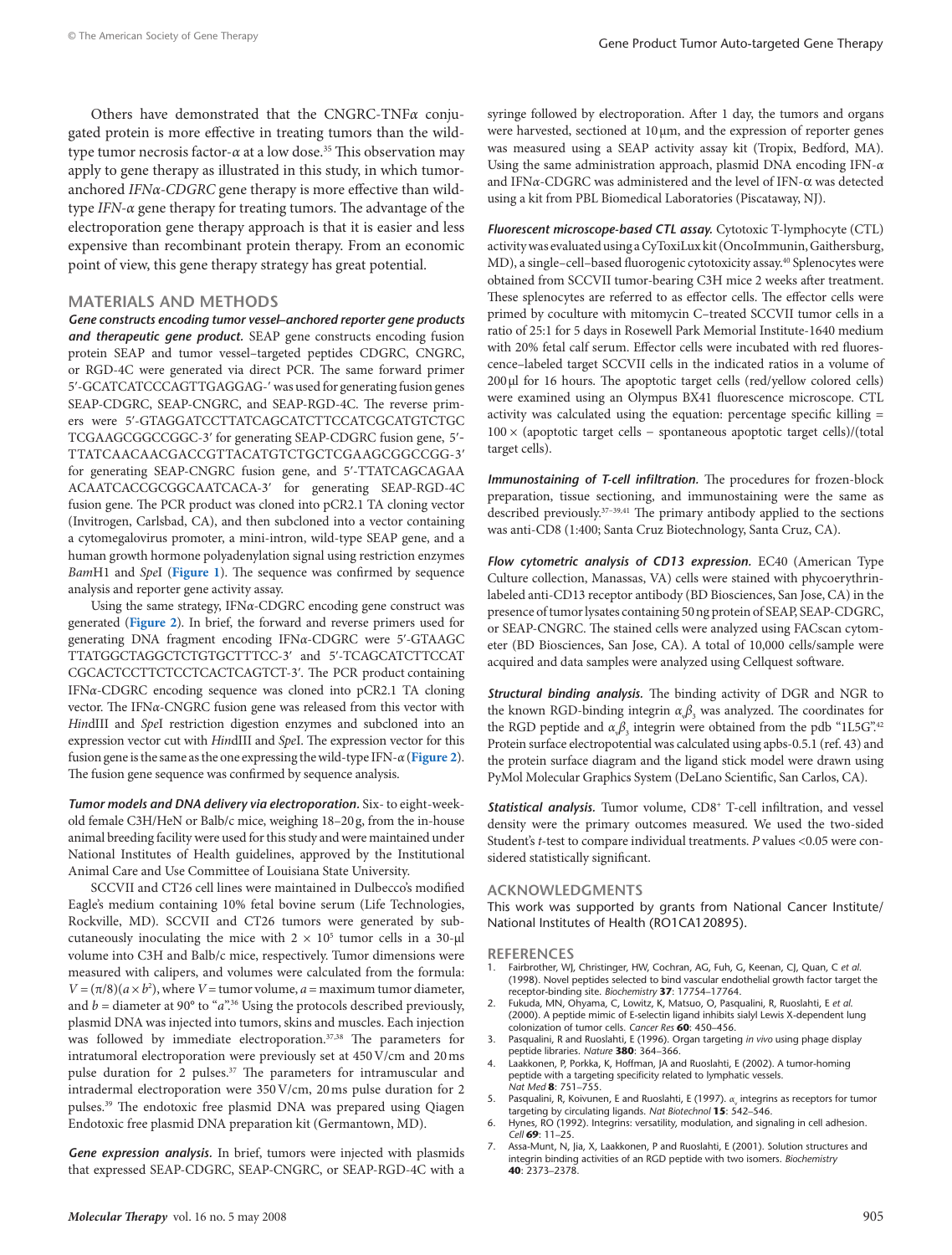Others have demonstrated that the CNGRC-TNF*α* conjugated protein is more effective in treating tumors than the wildtype tumor necrosis factor-*α* at a low dose.35 This observation may apply to gene therapy as illustrated in this study, in which tumoranchored *IFNα-CDGRC* gene therapy is more effective than wildtype *IFN-α* gene therapy for treating tumors. The advantage of the electroporation gene therapy approach is that it is easier and less expensive than recombinant protein therapy. From an economic point of view, this gene therapy strategy has great potential.

#### **MATERIALS AND METHODS**

*Gene constructs encoding tumor vessel–anchored reporter gene products and therapeutic gene product.* SEAP gene constructs encoding fusion protein SEAP and tumor vessel–targeted peptides CDGRC, CNGRC, or RGD-4C were generated via direct PCR. The same forward primer 5ʹ-GCATCATCCCAGTTGAGGAG-ʹ was used for generating fusion genes SEAP-CDGRC, SEAP-CNGRC, and SEAP-RGD-4C. The reverse primers were 5ʹ-GTAGGATCCTTATCAGCATCTTCCATCGCATGTCTGC TCGAAGCGGCCGGC-3ʹ for generating SEAP-CDGRC fusion gene, 5ʹ-TTATCAACAACGACCGTTACATGTCTGCTCGAAGCGGCCGG-3ʹ for generating SEAP-CNGRC fusion gene, and 5ʹ-TTATCAGCAGAA ACAATCACCGCGGCAATCACA-3ʹ for generating SEAP-RGD-4C fusion gene. The PCR product was cloned into pCR2.1 TA cloning vector (Invitrogen, Carlsbad, CA), and then subcloned into a vector containing a cytomegalovirus promoter, a mini-intron, wild-type SEAP gene, and a human growth hormone polyadenylation signal using restriction enzymes *Bam*H1 and *Spe*I (**[Figure 1](#page-3-0)**). The sequence was confirmed by sequence analysis and reporter gene activity assay.

Using the same strategy, IFN*α*-CDGRC encoding gene construct was generated (**[Figure 2](#page-4-0)**). In brief, the forward and reverse primers used for generating DNA fragment encoding IFN*α*-CDGRC were 5ʹ-GTAAGC TTATGGCTAGGCTCTGTGCTTTCC-3ʹ and 5ʹ-TCAGCATCTTCCAT CGCACTCCTTCTCCTCACTCAGTCT-3ʹ. The PCR product containing IFN*α*-CDGRC encoding sequence was cloned into pCR2.1 TA cloning vector. The IFN*α*-CNGRC fusion gene was released from this vector with *Hin*dIII and *Spe*I restriction digestion enzymes and subcloned into an expression vector cut with *Hin*dIII and *Spe*I. The expression vector for this fusion gene is the same as the one expressing the wild-type IFN-*α* (**[Figure](#page-4-0) 2**). The fusion gene sequence was confirmed by sequence analysis.

*Tumor models and DNA delivery via electroporation.* Six- to eight-weekold female C3H/HeN or Balb/c mice, weighing 18–20g, from the in-house animal breeding facility were used for this study and were maintained under National Institutes of Health guidelines, approved by the Institutional Animal Care and Use Committee of Louisiana State University.

SCCVII and CT26 cell lines were maintained in Dulbecco's modified Eagle's medium containing 10% fetal bovine serum (Life Technologies, Rockville, MD). SCCVII and CT26 tumors were generated by subcutaneously inoculating the mice with  $2 \times 10^5$  tumor cells in a 30- $\mu$ l volume into C3H and Balb/c mice, respectively. Tumor dimensions were measured with calipers, and volumes were calculated from the formula:  $V = (\pi/8)(a \times b^2)$ , where  $V =$  tumor volume,  $a =$  maximum tumor diameter, and  $b =$  diameter at 90 $^{\circ}$  to " $a$ ".<sup>36</sup> Using the protocols described previously, plasmid DNA was injected into tumors, skins and muscles. Each injection was followed by immediate electroporation.<sup>37,38</sup> The parameters for intratumoral electroporation were previously set at 450V/cm and 20ms pulse duration for 2 pulses.<sup>37</sup> The parameters for intramuscular and intradermal electroporation were 350V/cm, 20ms pulse duration for 2 pulses.39 The endotoxic free plasmid DNA was prepared using Qiagen Endotoxic free plasmid DNA preparation kit (Germantown, MD).

*Gene expression analysis.* In brief, tumors were injected with plasmids that expressed SEAP-CDGRC, SEAP-CNGRC, or SEAP-RGD-4C with a syringe followed by electroporation. After 1 day, the tumors and organs were harvested, sectioned at  $10 \mu m$ , and the expression of reporter genes was measured using a SEAP activity assay kit (Tropix, Bedford, MA). Using the same administration approach, plasmid DNA encoding IFN-*α*  and IFN*α*-CDGRC was administered and the level of IFN-α was detected using a kit from PBL Biomedical Laboratories (Piscataway, NJ).

*Fluorescent microscope-based CTL assay.* Cytotoxic T-lymphocyte (CTL) activity was evaluated using a CyToxiLux kit (OncoImmunin, Gaithersburg, MD), a single–cell–based fluorogenic cytotoxicity assay.40 Splenocytes were obtained from SCCVII tumor-bearing C3H mice 2 weeks after treatment. These splenocytes are referred to as effector cells. The effector cells were primed by coculture with mitomycin C–treated SCCVII tumor cells in a ratio of 25:1 for 5 days in Rosewell Park Memorial Institute-1640 medium with 20% fetal calf serum. Effector cells were incubated with red fluorescence–labeled target SCCVII cells in the indicated ratios in a volume of 200µl for 16 hours. The apoptotic target cells (red/yellow colored cells) were examined using an Olympus BX41 fluorescence microscope. CTL activity was calculated using the equation: percentage specific killing = 100 × (apoptotic target cells − spontaneous apoptotic target cells)/(total target cells).

*Immunostaining of T-cell infiltration.* The procedures for frozen-block preparation, tissue sectioning, and immunostaining were the same as described previously.<sup>37-39,41</sup> The primary antibody applied to the sections was anti-CD8 (1:400; Santa Cruz Biotechnology, Santa Cruz, CA).

*Flow cytometric analysis of CD13 expression.* EC40 (American Type Culture collection, Manassas, VA) cells were stained with phycoerythrinlabeled anti-CD13 receptor antibody (BD Biosciences, San Jose, CA) in the presence of tumor lysates containing 50ng protein of SEAP, SEAP-CDGRC, or SEAP-CNGRC. The stained cells were analyzed using FACscan cytometer (BD Biosciences, San Jose, CA). A total of 10,000 cells/sample were acquired and data samples were analyzed using Cellquest software.

*Structural binding analysis.* The binding activity of DGR and NGR to the known RGD-binding integrin  $\alpha_{\phi}\beta_{3}$  was analyzed. The coordinates for the RGD peptide and  $\alpha_{\phi} \beta_{3}$  integrin were obtained from the pdb "1L5G".<sup>42</sup> Protein surface electropotential was calculated using apbs-0.5.1 (ref. 43) and the protein surface diagram and the ligand stick model were drawn using PyMol Molecular Graphics System (DeLano Scientific, San Carlos, CA).

**Statistical analysis.** Tumor volume, CD8<sup>+</sup> T-cell infiltration, and vessel density were the primary outcomes measured. We used the two-sided Student's *t-*test to compare individual treatments. *P* values <0.05 were considered statistically significant.

#### **ACKNOWLEDGMENTS**

This work was supported by grants from National Cancer Institute/ National Institutes of Health (RO1CA120895).

#### **REFERENCES**

- 1. Fairbrother, WJ, Christinger, HW, Cochran, AG, Fuh, G, Keenan, CJ, Quan, C *et al*. (1998). Novel peptides selected to bind vascular endothelial growth factor target the receptor-binding site. *Biochemistry* **37**: 17754–17764.
- 2. Fukuda, MN, Ohyama, C, Lowitz, K, Matsuo, O, Pasqualini, R, Ruoslahti, E *et al*. (2000). A peptide mimic of E-selectin ligand inhibits sialyl Lewis X-dependent lung colonization of tumor cells. *Cancer Res* **60**: 450–456.
- 3. Pasqualini, R and Ruoslahti, E (1996). Organ targeting *in vivo* using phage display peptide libraries. *Nature* **380**: 364–366.
- 4. Laakkonen, P, Porkka, K, Hoffman, JA and Ruoslahti, E (2002). A tumor-homing peptide with a targeting specificity related to lymphatic vessels. *Nat Med* **8**: 751–755.
- 5. Pasqualini, R, Koivunen, E and Ruoslahti, E (1997). α<sub>ν</sub> integrins as receptors for tumor targeting by circulating ligands. *Nat Biotechnol* **15**: 542–546.
- 6. Hynes, RO (1992). Integrins: versatility, modulation, and signaling in cell adhesion. *Cell* **69**: 11–25.
- 7. Assa-Munt, N, Jia, X, Laakkonen, P and Ruoslahti, E (2001). Solution structures and integrin binding activities of an RGD peptide with two isomers. *Biochemistry* **40**: 2373–2378.